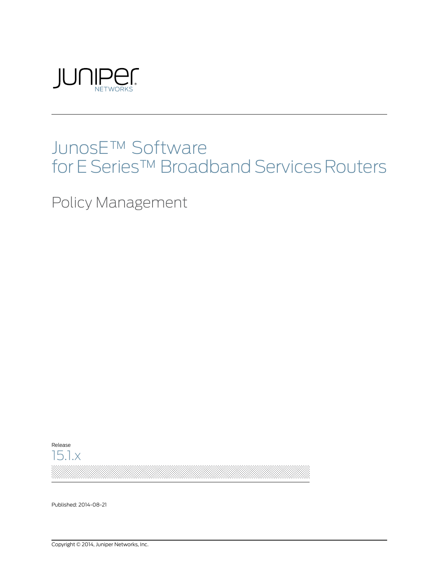

# JunosE™ Software for E Series™ Broadband Services Routers

Policy Management



Published: 2014-08-21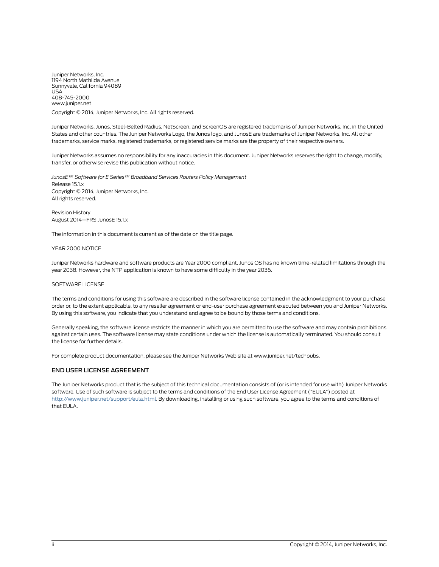Juniper Networks, Inc. 1194 North Mathilda Avenue Sunnyvale, California 94089 USA 408-745-2000 www.juniper.net

Copyright © 2014, Juniper Networks, Inc. All rights reserved.

Juniper Networks, Junos, Steel-Belted Radius, NetScreen, and ScreenOS are registered trademarks of Juniper Networks, Inc. in the United States and other countries. The Juniper Networks Logo, the Junos logo, and JunosE are trademarks of Juniper Networks, Inc. All other trademarks, service marks, registered trademarks, or registered service marks are the property of their respective owners.

Juniper Networks assumes no responsibility for any inaccuracies in this document. Juniper Networks reserves the right to change, modify, transfer, or otherwise revise this publication without notice.

*JunosE™ Software for E Series™ Broadband Services Routers Policy Management* Release 15.1.x Copyright © 2014, Juniper Networks, Inc. All rights reserved.

Revision History August 2014—FRS JunosE 15.1.x

The information in this document is current as of the date on the title page.

#### YEAR 2000 NOTICE

Juniper Networks hardware and software products are Year 2000 compliant. Junos OS has no known time-related limitations through the year 2038. However, the NTP application is known to have some difficulty in the year 2036.

#### SOFTWARE LICENSE

The terms and conditions for using this software are described in the software license contained in the acknowledgment to your purchase order or, to the extent applicable, to any reseller agreement or end-user purchase agreement executed between you and Juniper Networks. By using this software, you indicate that you understand and agree to be bound by those terms and conditions.

Generally speaking, the software license restricts the manner in which you are permitted to use the software and may contain prohibitions against certain uses. The software license may state conditions under which the license is automatically terminated. You should consult the license for further details.

For complete product documentation, please see the Juniper Networks Web site at www.juniper.net/techpubs.

#### END USER LICENSE AGREEMENT

The Juniper Networks product that is the subject of this technical documentation consists of (or is intended for use with) Juniper Networks software. Use of such software is subject to the terms and conditions of the End User License Agreement ("EULA") posted at <http://www.juniper.net/support/eula.html>. By downloading, installing or using such software, you agree to the terms and conditions of that EULA.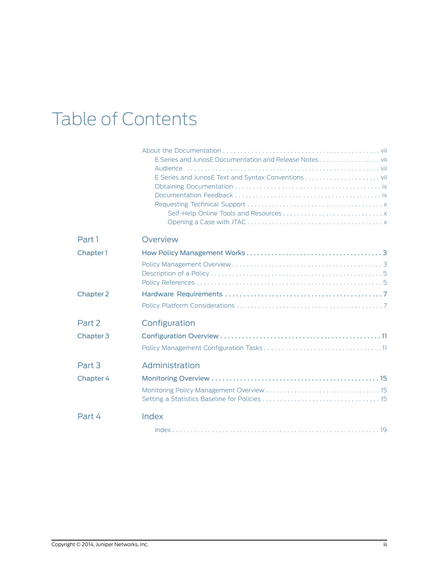# Table of Contents

|                  | Opening a Case with JTAC $\ldots$ , $\ldots$ , $\ldots$ , $\ldots$ , $\ldots$ , $\ldots$ , $\ldots$ , $\ldots$ , $\ldots$ |
|------------------|---------------------------------------------------------------------------------------------------------------------------|
| Part 1           | Overview                                                                                                                  |
| Chapter 1        |                                                                                                                           |
|                  |                                                                                                                           |
| <b>Chapter 2</b> |                                                                                                                           |
|                  |                                                                                                                           |
| Part 2           | Configuration                                                                                                             |
| <b>Chapter 3</b> |                                                                                                                           |
|                  |                                                                                                                           |
| Part 3           | Administration                                                                                                            |
| <b>Chapter 4</b> |                                                                                                                           |
|                  |                                                                                                                           |
| Part 4           | Index                                                                                                                     |
|                  |                                                                                                                           |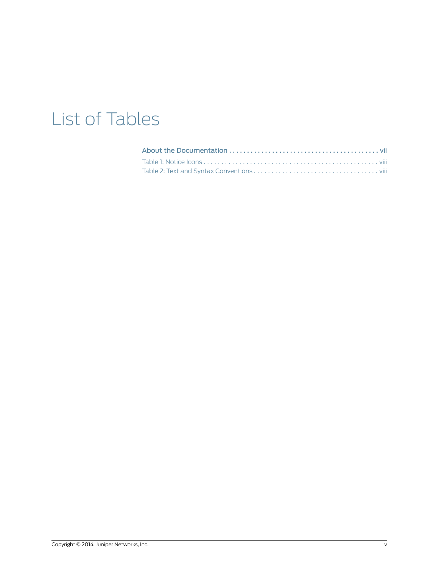# List of Tables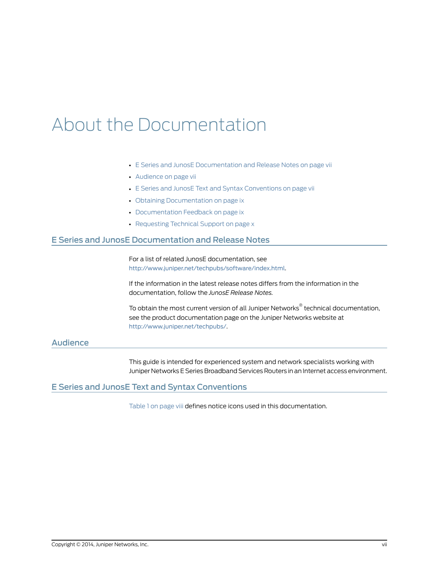# <span id="page-6-0"></span>About the Documentation

- E Series and JunosE [Documentation](#page-6-1) and Release Notes on [page](#page-6-1) vii
- [Audience](#page-6-2) on [page](#page-6-2) vii
- E Series and JunosE Text and Syntax [Conventions](#page-6-3) on [page](#page-6-3) vii
- Obtaining [Documentation](#page-8-0) on [page](#page-8-0) ix
- [Documentation](#page-8-1) Feedback on [page](#page-8-1) ix
- [Requesting](#page-9-0) Technical Support on [page](#page-9-0) x

### <span id="page-6-1"></span>E Series and JunosE Documentation and Release Notes

For a list of related JunosE documentation, see <http://www.juniper.net/techpubs/software/index.html>.

If the information in the latest release notes differs from the information in the documentation, follow the *JunosE Release Notes.*

To obtain the most current version of all Juniper Networks ® technical documentation, see the product documentation page on the Juniper Networks website at <http://www.juniper.net/techpubs/>.

## <span id="page-6-3"></span><span id="page-6-2"></span>Audience

<span id="page-6-4"></span>This guide is intended for experienced system and network specialists working with Juniper Networks E Series Broadband Services Routers in an Internet access environment.

### E Series and JunosE Text and Syntax Conventions

[Table](#page-7-0) 1 on page viii defines notice icons used in this documentation.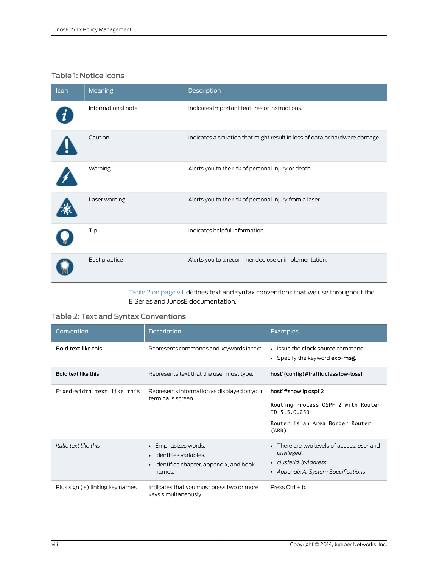## <span id="page-7-0"></span>Table 1: Notice Icons

| Icon | Meaning            | Description                                                                 |
|------|--------------------|-----------------------------------------------------------------------------|
|      | Informational note | Indicates important features or instructions.                               |
|      | Caution            | Indicates a situation that might result in loss of data or hardware damage. |
|      | Warning            | Alerts you to the risk of personal injury or death.                         |
|      | Laser warning      | Alerts you to the risk of personal injury from a laser.                     |
|      | Tip                | Indicates helpful information.                                              |
|      | Best practice      | Alerts you to a recommended use or implementation.                          |

<span id="page-7-2"></span><span id="page-7-1"></span>[Table](#page-7-1) 2 on page viii defines text and syntax conventions that we use throughout the E Series and JunosE documentation.

## Table 2: Text and Syntax Conventions

| Convention                 | <b>Description</b>                                                                                   | <b>Examples</b>                                                                                                             |
|----------------------------|------------------------------------------------------------------------------------------------------|-----------------------------------------------------------------------------------------------------------------------------|
| Bold text like this        | Represents commands and keywords in text.                                                            | • Issue the clock source command.<br>• Specify the keyword $exp\text{-}msg$ .                                               |
| Bold text like this        | Represents text that the user must type.                                                             | host1(config)#traffic class low-loss1                                                                                       |
| Fixed-width text like this | Represents information as displayed on your<br>terminal's screen.                                    | host1#show ip ospf 2                                                                                                        |
|                            |                                                                                                      | Routing Process OSPF 2 with Router<br>$ID$ 5.5.0.250                                                                        |
|                            |                                                                                                      | Router is an Area Border Router<br>(ABR)                                                                                    |
| Italic text like this      | • Emphasizes words.<br>· Identifies variables.<br>• Identifies chapter, appendix, and book<br>names. | • There are two levels of access: user and<br>privileged.<br>• clusterId, ipAddress.<br>• Appendix A, System Specifications |
|                            |                                                                                                      |                                                                                                                             |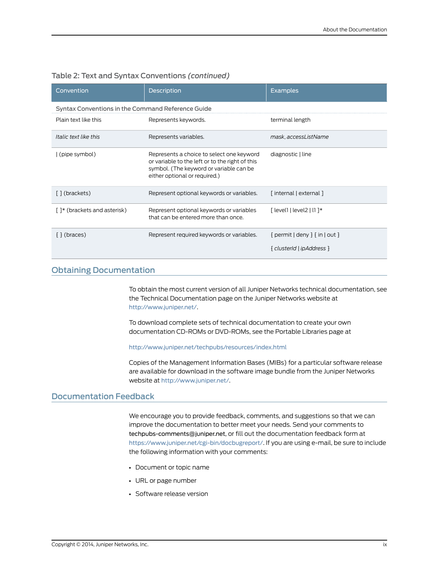| Convention                                        | <b>Description</b>                                                                                                                                                       | <b>Examples</b>                                                             |
|---------------------------------------------------|--------------------------------------------------------------------------------------------------------------------------------------------------------------------------|-----------------------------------------------------------------------------|
| Syntax Conventions in the Command Reference Guide |                                                                                                                                                                          |                                                                             |
| Plain text like this                              | Represents keywords.                                                                                                                                                     | terminal length                                                             |
| Italic text like this                             | Represents variables.                                                                                                                                                    | mask, accessListName                                                        |
| (pipe symbol)                                     | Represents a choice to select one keyword<br>or variable to the left or to the right of this<br>symbol. (The keyword or variable can be<br>either optional or required.) | diagnostic   line                                                           |
| [] (brackets)                                     | Represent optional keywords or variables.                                                                                                                                | [internal   external ]                                                      |
| []* (brackets and asterisk)                       | Represent optional keywords or variables<br>that can be entered more than once.                                                                                          | $\lceil$ level $\rceil$ level $\lceil$ l $\rceil$ $\rceil$                  |
| $\{ \}$ (braces)                                  | Represent required keywords or variables.                                                                                                                                | $\{$ permit $ $ deny $\}$ $\{$ in $ $ out $\}$<br>{ clusterId \ ipAddress } |

### Table 2: Text and Syntax Conventions *(continued)*

### <span id="page-8-0"></span>Obtaining Documentation

To obtain the most current version of all Juniper Networks technical documentation, see the Technical Documentation page on the Juniper Networks website at <http://www.juniper.net/>.

To download complete sets of technical documentation to create your own documentation CD-ROMs or DVD-ROMs, see the Portable Libraries page at

#### <http://www.juniper.net/techpubs/resources/index.html>

<span id="page-8-2"></span>Copies of the Management Information Bases (MIBs) for a particular software release are available for download in the software image bundle from the Juniper Networks website at <http://www.juniper.net/>.

### <span id="page-8-1"></span>Documentation Feedback

We encourage you to provide feedback, comments, and suggestions so that we can improve the documentation to better meet your needs. Send your comments to [techpubs-comments@juniper.net](mailto:techpubs-comments@juniper.net?subject=), or fill out the documentation feedback form at <https://www.juniper.net/cgi-bin/docbugreport/>. If you are using e-mail, be sure to include the following information with your comments:

- Document or topic name
- URL or page number
- Software release version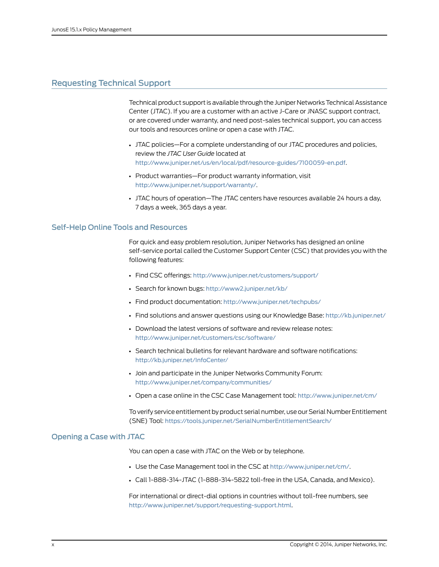### <span id="page-9-0"></span>Requesting Technical Support

<span id="page-9-3"></span>Technical product support is available through the Juniper Networks Technical Assistance Center (JTAC). If you are a customer with an active J-Care or JNASC support contract, or are covered under warranty, and need post-sales technical support, you can access our tools and resources online or open a case with JTAC.

- JTAC policies—For a complete understanding of our JTAC procedures and policies, review the *JTAC User Guide* located at <http://www.juniper.net/us/en/local/pdf/resource-guides/7100059-en.pdf>.
- Product warranties—For product warranty information, visit <http://www.juniper.net/support/warranty/>.
- JTAC hours of operation—The JTAC centers have resources available 24 hours a day, 7 days a week, 365 days a year.

#### <span id="page-9-1"></span>Self-Help Online Tools and Resources

For quick and easy problem resolution, Juniper Networks has designed an online self-service portal called the Customer Support Center (CSC) that provides you with the following features:

- Find CSC offerings: <http://www.juniper.net/customers/support/>
- Search for known bugs: <http://www2.juniper.net/kb/>
- Find product documentation: <http://www.juniper.net/techpubs/>
- Find solutions and answer questions using our Knowledge Base: <http://kb.juniper.net/>
- Download the latest versions of software and review release notes: <http://www.juniper.net/customers/csc/software/>
- Search technical bulletins for relevant hardware and software notifications: <http://kb.juniper.net/InfoCenter/>
- Join and participate in the Juniper Networks Community Forum: <http://www.juniper.net/company/communities/>
- Open a case online in the CSC Case Management tool: <http://www.juniper.net/cm/>

To verify service entitlement by product serial number, use our Serial Number Entitlement (SNE) Tool: <https://tools.juniper.net/SerialNumberEntitlementSearch/>

#### <span id="page-9-2"></span>Opening a Case with JTAC

You can open a case with JTAC on the Web or by telephone.

- Use the Case Management tool in the CSC at <http://www.juniper.net/cm/>.
- Call 1-888-314-JTAC (1-888-314-5822 toll-free in the USA, Canada, and Mexico).

For international or direct-dial options in countries without toll-free numbers, see <http://www.juniper.net/support/requesting-support.html>.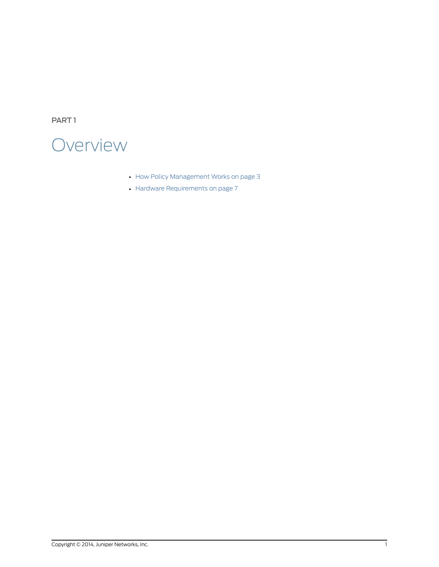<span id="page-10-0"></span>PART 1

# **Overview**

- How Policy [Management](#page-12-0) Works on [page](#page-12-0) 3
- Hardware [Requirements](#page-16-0) on [page](#page-16-0) 7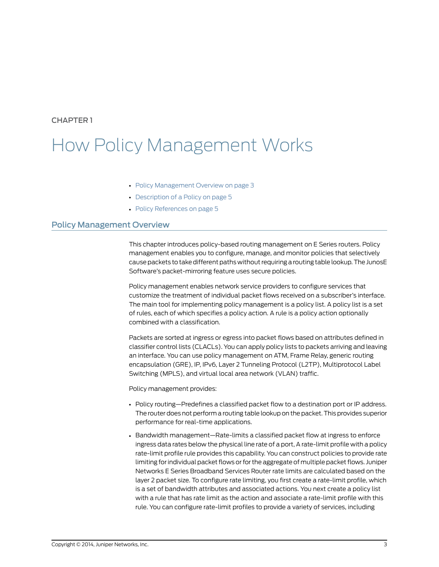# <span id="page-12-0"></span>How Policy Management Works

- Policy [Management](#page-12-1) Overview on [page](#page-12-1) 3
- [Description](#page-14-0) of a Policy on [page](#page-14-0) 5
- <span id="page-12-2"></span>• Policy [References](#page-14-1) on [page](#page-14-1) 5

### <span id="page-12-1"></span>Policy Management Overview

This chapter introduces policy-based routing management on E Series routers. Policy management enables you to configure, manage, and monitor policies that selectively cause packets to take different paths without requiring a routing table lookup. The JunosE Software's packet-mirroring feature uses secure policies.

Policy management enables network service providers to configure services that customize the treatment of individual packet flows received on a subscriber's interface. The main tool for implementing policy management is a policy list. A policy list is a set of rules, each of which specifies a policy action. A rule is a policy action optionally combined with a classification.

Packets are sorted at ingress or egress into packet flows based on attributes defined in classifier control lists (CLACLs). You can apply policy lists to packets arriving and leaving an interface. You can use policy management on ATM, Frame Relay, generic routing encapsulation (GRE), IP, IPv6, Layer 2 Tunneling Protocol (L2TP), Multiprotocol Label Switching (MPLS), and virtual local area network (VLAN) traffic.

Policy management provides:

- Policy routing—Predefines a classified packet flow to a destination port or IP address. The router does not perform a routing table lookup on the packet. This provides superior performance for real-time applications.
- Bandwidth management—Rate-limits a classified packet flow at ingress to enforce ingress data rates below the physical line rate of a port, A rate-limit profile with a policy rate-limit profile rule provides this capability. You can construct policies to provide rate limiting for individual packet flows or for the aggregate of multiple packet flows. Juniper Networks E Series Broadband Services Router rate limits are calculated based on the layer 2 packet size. To configure rate limiting, you first create a rate-limit profile, which is a set of bandwidth attributes and associated actions. You next create a policy list with a rule that has rate limit as the action and associate a rate-limit profile with this rule. You can configure rate-limit profiles to provide a variety of services, including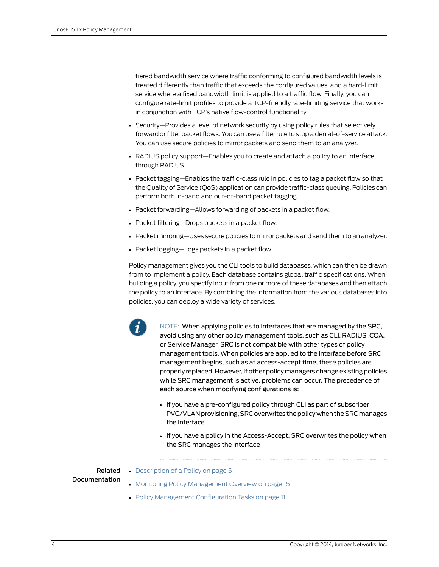tiered bandwidth service where traffic conforming to configured bandwidth levels is treated differently than traffic that exceeds the configured values, and a hard-limit service where a fixed bandwidth limit is applied to a traffic flow. Finally, you can configure rate-limit profiles to provide a TCP-friendly rate-limiting service that works in conjunction with TCP's native flow-control functionality.

- Security—Provides a level of network security by using policy rules that selectively forward or filter packet flows. You can use a filter rule to stop a denial-of-service attack. You can use secure policies to mirror packets and send them to an analyzer.
- RADIUS policy support—Enables you to create and attach a policy to an interface through RADIUS.
- Packet tagging—Enables the traffic-class rule in policies to tag a packet flow so that the Quality of Service (QoS) application can provide traffic-class queuing. Policies can perform both in-band and out-of-band packet tagging.
- Packet forwarding—Allows forwarding of packets in a packet flow.
- <span id="page-13-0"></span>• Packet filtering—Drops packets in a packet flow.
- Packet mirroring—Uses secure policies to mirror packets and send them to an analyzer.
- Packet logging—Logs packets in a packet flow.

Policy management gives you the CLI tools to build databases, which can then be drawn from to implement a policy. Each database contains global traffic specifications. When building a policy, you specify input from one or more of these databases and then attach the policy to an interface. By combining the information from the various databases into policies, you can deploy a wide variety of services.



NOTE: When applying policies to interfaces that are managed by the SRC, avoid using any other policy management tools, such as CLI, RADIUS, COA, or Service Manager. SRC is not compatible with other types of policy management tools. When policies are applied to the interface before SRC management begins, such as at access-accept time, these policies are properly replaced. However, if other policy managers change existing policies while SRC management is active, problems can occur. The precedence of each source when modifying configurations is:

- If you have a pre-configured policy through CLI as part of subscriber PVC/VLAN provisioning, SRC overwrites the policy when the SRC manages the interface
- If you have a policy in the Access-Accept, SRC overwrites the policy when the SRC manages the interface

Related Documentation

- [Description](#page-14-0) of a Policy on page 5
	- Monitoring Policy [Management](#page-24-1) Overview on page 15
	- Policy Management [Configuration](#page-20-1) Tasks on page 11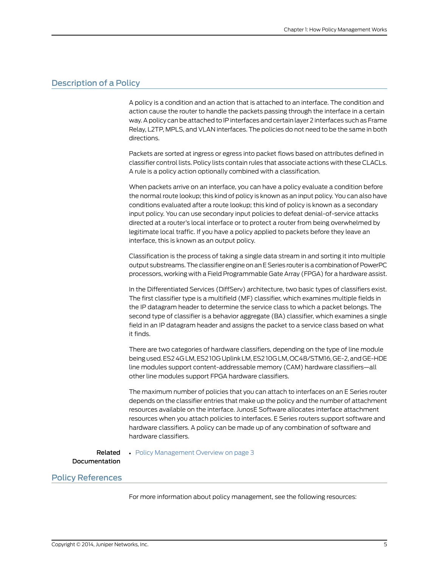### <span id="page-14-0"></span>Description of a Policy

<span id="page-14-2"></span>A policy is a condition and an action that is attached to an interface. The condition and action cause the router to handle the packets passing through the interface in a certain way. A policy can be attached to IP interfaces and certain layer 2 interfaces such as Frame Relay, L2TP, MPLS, and VLAN interfaces. The policies do not need to be the same in both directions.

Packets are sorted at ingress or egress into packet flows based on attributes defined in classifier control lists. Policy lists contain rules that associate actions with these CLACLs. A rule is a policy action optionally combined with a classification.

When packets arrive on an interface, you can have a policy evaluate a condition before the normal route lookup; this kind of policy is known as an input policy. You can also have conditions evaluated after a route lookup; this kind of policy is known as a secondary input policy. You can use secondary input policies to defeat denial-of-service attacks directed at a router's local interface or to protect a router from being overwhelmed by legitimate local traffic. If you have a policy applied to packets before they leave an interface, this is known as an output policy.

Classification is the process of taking a single data stream in and sorting it into multiple output substreams. The classifier engine on an E Series router is a combination of PowerPC processors, working with a Field Programmable Gate Array (FPGA) for a hardware assist.

In the Differentiated Services (DiffServ) architecture, two basic types of classifiers exist. The first classifier type is a multifield (MF) classifier, which examines multiple fields in the IP datagram header to determine the service class to which a packet belongs. The second type of classifier is a behavior aggregate (BA) classifier, which examines a single field in an IP datagram header and assigns the packet to a service class based on what it finds.

There are two categories of hardware classifiers, depending on the type of line module being used. ES2 4GLM, ES2 10G Uplink LM, ES2 10GLM, OC48/STM16, GE-2, and GE-HDE line modules support content-addressable memory (CAM) hardware classifiers—all other line modules support FPGA hardware classifiers.

The maximum number of policies that you can attach to interfaces on an E Series router depends on the classifier entries that make up the policy and the number of attachment resources available on the interface. JunosE Software allocates interface attachment resources when you attach policies to interfaces. E Series routers support software and hardware classifiers. A policy can be made up of any combination of software and hardware classifiers.

# <span id="page-14-1"></span>Related

• Policy [Management](#page-12-1) Overview on page 3

#### Documentation

#### Policy References

For more information about policy management, see the following resources: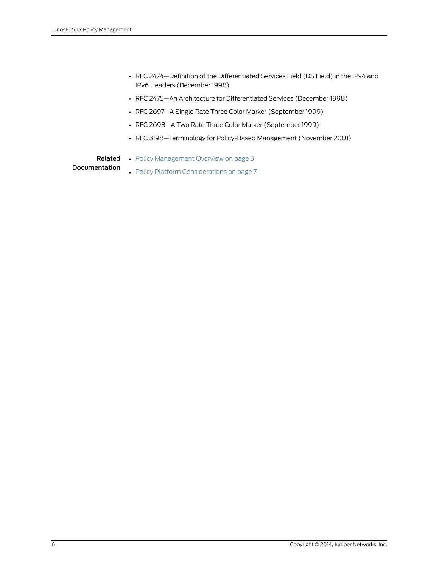- RFC 2474—Definition of the Differentiated Services Field (DS Field) in the IPv4 and IPv6 Headers (December 1998)
- RFC 2475—An Architecture for Differentiated Services (December 1998)
- RFC 2697—A Single Rate Three Color Marker (September 1999)
- RFC 2698—A Two Rate Three Color Marker (September 1999)
- RFC 3198—Terminology for Policy-Based Management (November 2001)

- Related Policy [Management](#page-12-1) Overview on page 3
- Documentation
- Policy Platform [Considerations](#page-16-1) on page 7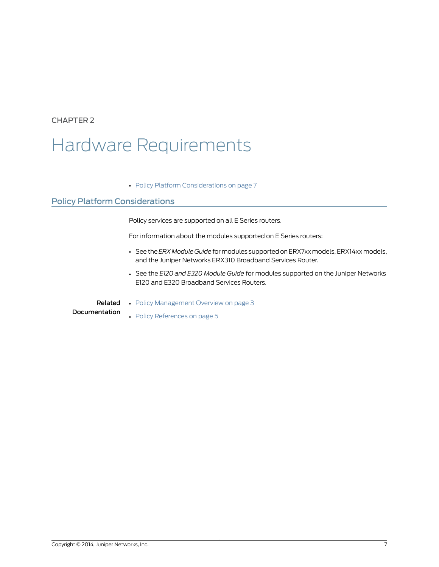# <span id="page-16-0"></span>Hardware Requirements

• Policy Platform [Considerations](#page-16-1) on [page](#page-16-1) 7

## <span id="page-16-1"></span>Policy Platform Considerations

Policy services are supported on all E Series routers.

For information about the modules supported on E Series routers:

- See the *ERX Module Guide* formodules supportedonERX7xxmodels,ERX14xxmodels, and the Juniper Networks ERX310 Broadband Services Router.
- See the *E120 and E320 Module Guide* for modules supported on the Juniper Networks E120 and E320 Broadband Services Routers.
- Related • Policy [Management](#page-12-1) Overview on page 3
- Documentation
- Policy [References](#page-14-1) on page 5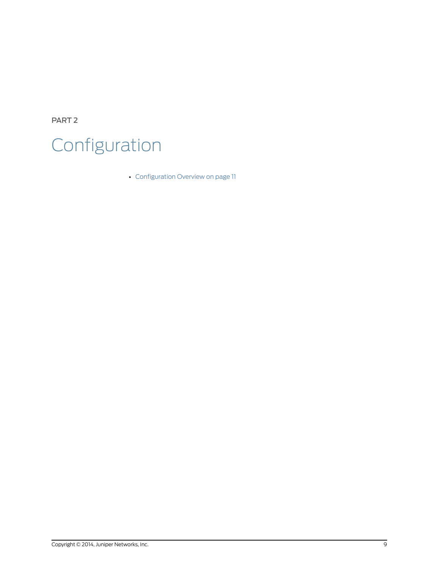<span id="page-18-0"></span>PART 2 Configuration

• [Configuration](#page-20-0) Overview on [page](#page-20-0) 11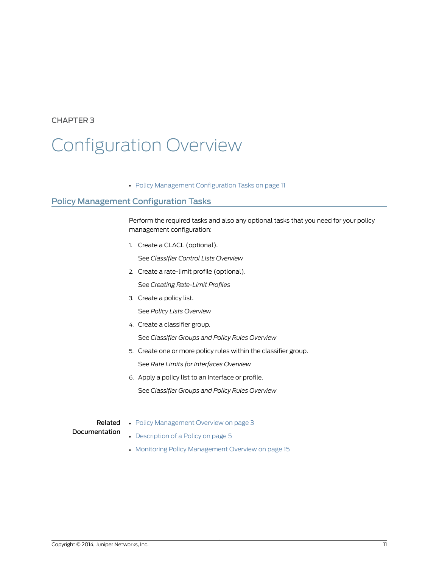# <span id="page-20-0"></span>Configuration Overview

<span id="page-20-2"></span>• Policy Management [Configuration](#page-20-1) Tasks on [page](#page-20-1) 11

## <span id="page-20-1"></span>Policy Management Configuration Tasks

Perform the required tasks and also any optional tasks that you need for your policy management configuration:

1. Create a CLACL (optional).

See *Classifier Control Lists Overview*

- 2. Create a rate-limit profile (optional). See *Creating Rate-Limit Profiles*
- 3. Create a policy list.

See *Policy Lists Overview*

4. Create a classifier group.

See *Classifier Groups and Policy Rules Overview*

- 5. Create one or more policy rules within the classifier group. See *Rate Limits for Interfaces Overview*
- 6. Apply a policy list to an interface or profile. See *Classifier Groups and Policy Rules Overview*

Related Documentation

- Policy [Management](#page-12-1) Overview on page 3
	- [Description](#page-14-0) of a Policy on page 5
	- Monitoring Policy [Management](#page-24-1) Overview on page 15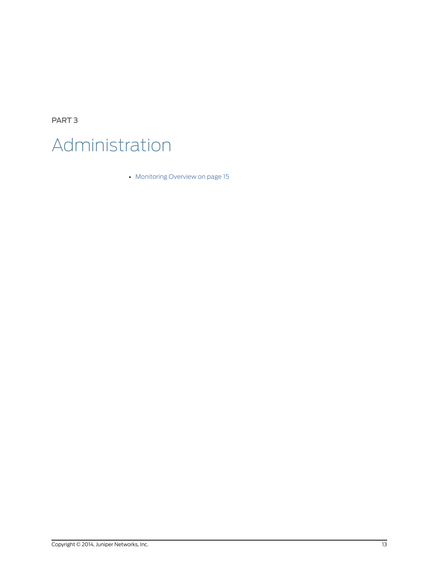<span id="page-22-0"></span>PART 3 Administration

• [Monitoring](#page-24-0) Overview on [page](#page-24-0) 15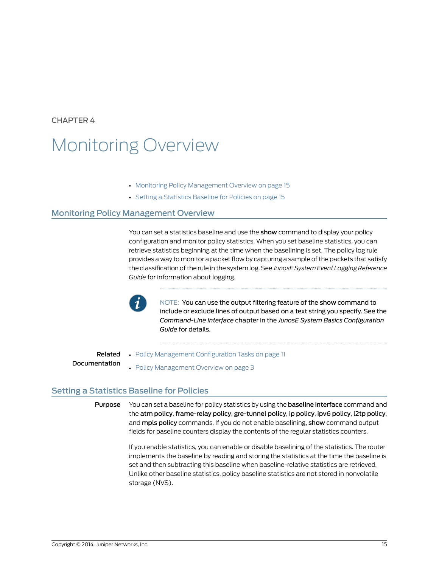# <span id="page-24-0"></span>Monitoring Overview

- Monitoring Policy [Management](#page-24-1) Overview on [page](#page-24-1) 15
- Setting a [Statistics](#page-24-2) Baseline for Policies on [page](#page-24-2) 15

### <span id="page-24-1"></span>Monitoring Policy Management Overview

You can set a statistics baseline and use the **show** command to display your policy configuration and monitor policy statistics. When you set baseline statistics, you can retrieve statistics beginning at the time when the baselining is set. The policy log rule provides a way to monitor a packet flow by capturing a sample of the packets that satisfy the classification of the rule in the system log. See *JunosE System Event Logging Reference Guide* for information about logging.



NOTE: You can use the output filtering feature of the show command to include or exclude lines of output based on a text string you specify. See the *Command-Line Interface* chapter in the *JunosE System Basics Configuration Guide* for details.

<span id="page-24-2"></span>Related Documentation • Policy Management [Configuration](#page-20-1) Tasks on page 11 • Policy [Management](#page-12-1) Overview on page 3

### Setting a Statistics Baseline for Policies

<span id="page-24-3"></span>Purpose You can set a baseline for policy statistics by using the baseline interface command and the atm policy, frame-relay policy, gre-tunnel policy, ip policy, ipv6 policy, l2tp policy, and mpls policy commands. If you do not enable baselining, show command output fields for baseline counters display the contents of the regular statistics counters.

> If you enable statistics, you can enable or disable baselining of the statistics. The router implements the baseline by reading and storing the statistics at the time the baseline is set and then subtracting this baseline when baseline-relative statistics are retrieved. Unlike other baseline statistics, policy baseline statistics are not stored in nonvolatile storage (NVS).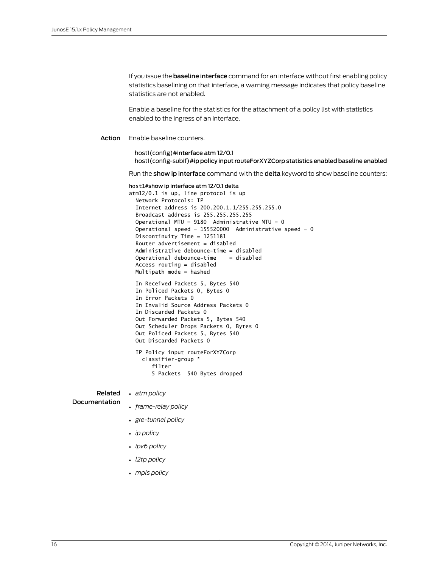If you issue the **baseline interface** command for an interface without first enabling policy statistics baselining on that interface, a warning message indicates that policy baseline statistics are not enabled.

Enable a baseline for the statistics for the attachment of a policy list with statistics enabled to the ingress of an interface.

Action Enable baseline counters.

host1(config)#interface atm 12/0.1 host1(config-subif)#ip policy input routeForXYZCorp statistics enabled baseline enabled

Run the show ip interface command with the delta keyword to show baseline counters:

|               | host1#show ip interface atm 12/0.1 delta<br>$atm12/0.1$ is up, line protocol is up<br>Network Protocols: IP<br>Internet address is 200.200.1.1/255.255.255.0<br>Broadcast address is 255.255.255.255<br>Operational MTU = $9180$ Administrative MTU = 0<br>Operational speed = $155520000$ Administrative speed = 0<br>Discontinuity Time = $1251181$<br>Router advertisement = disabled<br>Administrative debounce-time = disabled<br>Operational debounce-time $=$ disabled<br>Access routing $=$ disabled<br>Multipath mode = hashed |
|---------------|-----------------------------------------------------------------------------------------------------------------------------------------------------------------------------------------------------------------------------------------------------------------------------------------------------------------------------------------------------------------------------------------------------------------------------------------------------------------------------------------------------------------------------------------|
|               | In Received Packets 5, Bytes 540<br>In Policed Packets 0, Bytes 0<br>In Error Packets 0<br>In Invalid Source Address Packets 0<br>In Discarded Packets 0<br>Out Forwarded Packets 5, Bytes 540<br>Out Scheduler Drops Packets 0, Bytes 0<br>Out Policed Packets 5, Bytes 540<br>Out Discarded Packets O                                                                                                                                                                                                                                 |
|               | IP Policy input routeForXYZCorp<br>classifier-group *<br>filter<br>5 Packets 540 Bytes dropped                                                                                                                                                                                                                                                                                                                                                                                                                                          |
|               | <b>Related</b> . atm policy                                                                                                                                                                                                                                                                                                                                                                                                                                                                                                             |
| Documentation | • frame-relay policy                                                                                                                                                                                                                                                                                                                                                                                                                                                                                                                    |
|               | · gre-tunnel policy                                                                                                                                                                                                                                                                                                                                                                                                                                                                                                                     |
|               | $\bullet$ ip policy                                                                                                                                                                                                                                                                                                                                                                                                                                                                                                                     |
|               | • ipv6 policy                                                                                                                                                                                                                                                                                                                                                                                                                                                                                                                           |
|               | • l2tp policy                                                                                                                                                                                                                                                                                                                                                                                                                                                                                                                           |
|               | • mpls policy                                                                                                                                                                                                                                                                                                                                                                                                                                                                                                                           |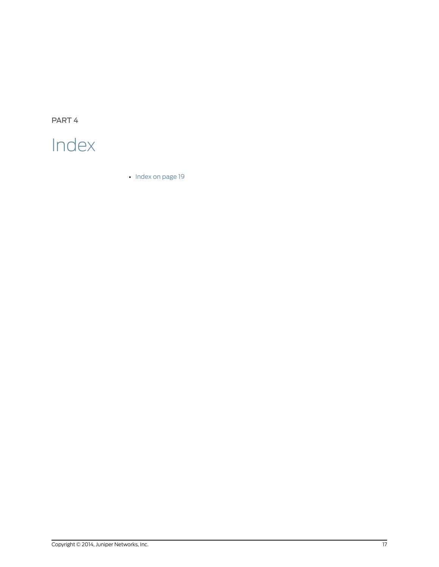<span id="page-26-0"></span>PART 4

# Index

• [Index](#page-28-0) on [page](#page-28-0) 19